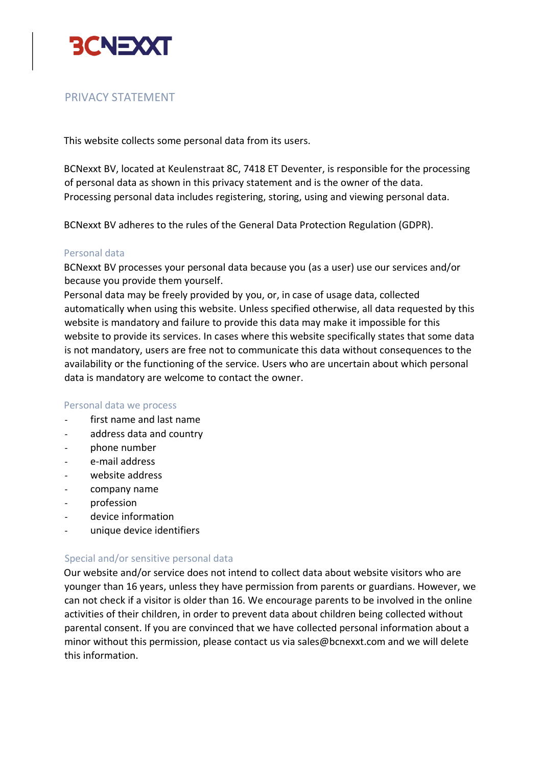

# PRIVACY STATEMENT

This website collects some personal data from its users.

BCNexxt BV, located at Keulenstraat 8C, 7418 ET Deventer, is responsible for the processing of personal data as shown in this privacy statement and is the owner of the data. Processing personal data includes registering, storing, using and viewing personal data.

BCNexxt BV adheres to the rules of the General Data Protection Regulation (GDPR).

### Personal data

BCNexxt BV processes your personal data because you (as a user) use our services and/or because you provide them yourself.

Personal data may be freely provided by you, or, in case of usage data, collected automatically when using this website. Unless specified otherwise, all data requested by this website is mandatory and failure to provide this data may make it impossible for this website to provide its services. In cases where this website specifically states that some data is not mandatory, users are free not to communicate this data without consequences to the availability or the functioning of the service. Users who are uncertain about which personal data is mandatory are welcome to contact the owner.

#### Personal data we process

- first name and last name
- address data and country
- phone number
- e-mail address
- website address
- company name
- profession
- device information
- unique device identifiers

## Special and/or sensitive personal data

Our website and/or service does not intend to collect data about website visitors who are younger than 16 years, unless they have permission from parents or guardians. However, we can not check if a visitor is older than 16. We encourage parents to be involved in the online activities of their children, in order to prevent data about children being collected without parental consent. If you are convinced that we have collected personal information about a minor without this permission, please contact us via sales@bcnexxt.com and we will delete this information.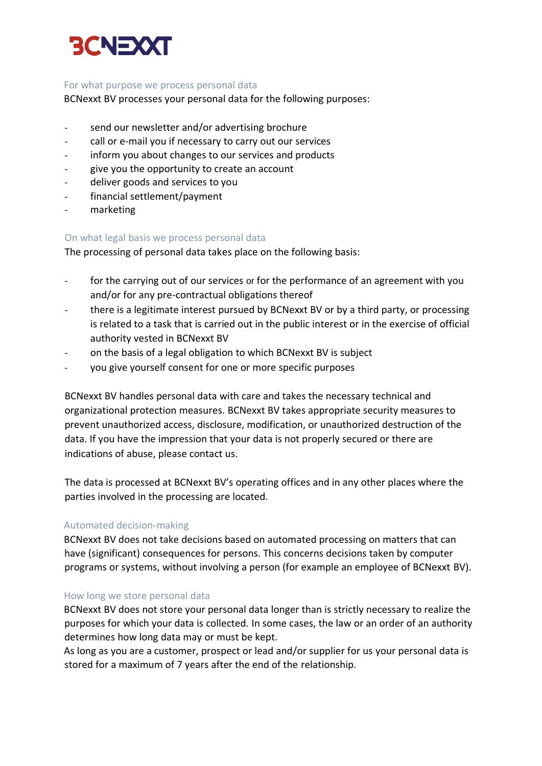

## For what purpose we process personal data

BCNexxt BV processes your personal data for the following purposes:

- send our newsletter and/or advertising brochure
- call or e-mail you if necessary to carry out our services
- inform you about changes to our services and products
- give you the opportunity to create an account
- deliver goods and services to you
- financial settlement/payment
- marketing

## On what legal basis we process personal data

The processing of personal data takes place on the following basis:

- for the carrying out of our services or for the performance of an agreement with you and/or for any pre-contractual obligations thereof
- there is a legitimate interest pursued by BCNexxt BV or by a third party, or processing is related to a task that is carried out in the public interest or in the exercise of official authority vested in BCNexxt BV
- on the basis of a legal obligation to which BCNexxt BV is subject
- you give yourself consent for one or more specific purposes

BCNexxt BV handles personal data with care and takes the necessary technical and organizational protection measures. BCNexxt BV takes appropriate security measures to prevent unauthorized access, disclosure, modification, or unauthorized destruction of the data. If you have the impression that your data is not properly secured or there are indications of abuse, please contact us.

The data is processed at BCNexxt BV's operating offices and in any other places where the parties involved in the processing are located.

## Automated decision-making

BCNexxt BV does not take decisions based on automated processing on matters that can have (significant) consequences for persons. This concerns decisions taken by computer programs or systems, without involving a person (for example an employee of BCNexxt BV).

## How long we store personal data

BCNexxt BV does not store your personal data longer than is strictly necessary to realize the purposes for which your data is collected. In some cases, the law or an order of an authority determines how long data may or must be kept.

As long as you are a customer, prospect or lead and/or supplier for us your personal data is stored for a maximum of 7 years after the end of the relationship.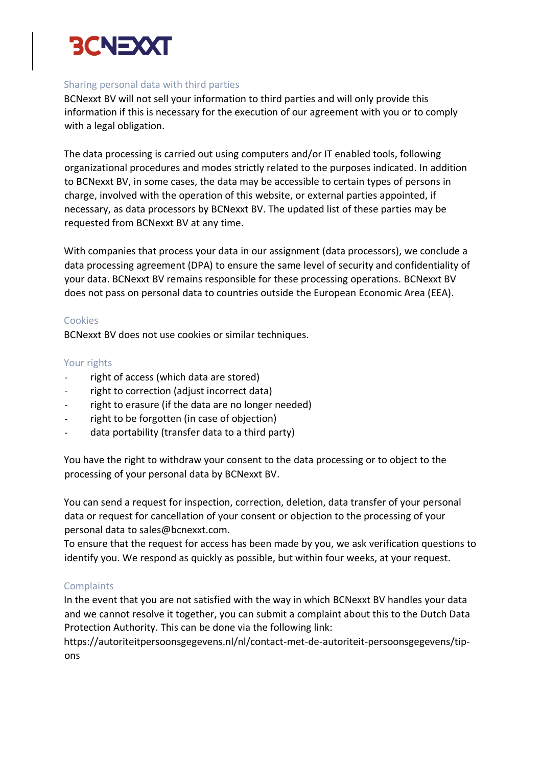

## Sharing personal data with third parties

BCNexxt BV will not sell your information to third parties and will only provide this information if this is necessary for the execution of our agreement with you or to comply with a legal obligation.

The data processing is carried out using computers and/or IT enabled tools, following organizational procedures and modes strictly related to the purposes indicated. In addition to BCNexxt BV, in some cases, the data may be accessible to certain types of persons in charge, involved with the operation of this website, or external parties appointed, if necessary, as data processors by BCNexxt BV. The updated list of these parties may be requested from BCNexxt BV at any time.

With companies that process your data in our assignment (data processors), we conclude a data processing agreement (DPA) to ensure the same level of security and confidentiality of your data. BCNexxt BV remains responsible for these processing operations. BCNexxt BV does not pass on personal data to countries outside the European Economic Area (EEA).

### Cookies

BCNexxt BV does not use cookies or similar techniques.

### Your rights

- right of access (which data are stored)
- right to correction (adjust incorrect data)
- right to erasure (if the data are no longer needed)
- right to be forgotten (in case of objection)
- data portability (transfer data to a third party)

You have the right to withdraw your consent to the data processing or to object to the processing of your personal data by BCNexxt BV.

You can send a request for inspection, correction, deletion, data transfer of your personal data or request for cancellation of your consent or objection to the processing of your personal data to sales@bcnexxt.com.

To ensure that the request for access has been made by you, we ask verification questions to identify you. We respond as quickly as possible, but within four weeks, at your request.

## **Complaints**

In the event that you are not satisfied with the way in which BCNexxt BV handles your data and we cannot resolve it together, you can submit a complaint about this to the Dutch Data Protection Authority. This can be done via the following link:

https://autoriteitpersoonsgegevens.nl/nl/contact-met-de-autoriteit-persoonsgegevens/tipons